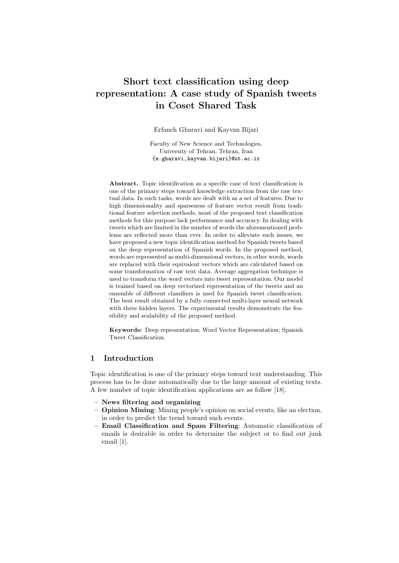# **Short text classification using deep representation: A case study of Spanish tweets in Coset Shared Task**

Erfaneh Gharavi and Kayvan Bijari

Faculty of New Science and Technologies, University of Tehran, Tehran, Iran {e.gharavi,kayvan.bijari}@ut.ac.ir

**Abstract.** Topic identification as a specific case of text classification is one of the primary steps toward knowledge extraction from the raw textual data. In such tasks, words are dealt with as a set of features. Due to high dimensionality and sparseness of feature vector result from traditional feature selection methods, most of the proposed text classification methods for this purpose lack performance and accuracy. In dealing with tweets which are limited in the number of words the aforementioned problems are reflected more than ever. In order to alleviate such issues, we have proposed a new topic identification method for Spanish tweets based on the deep representation of Spanish words. In the proposed method, words are represented as multi-dimensional vectors, in other words, words are replaced with their equivalent vectors which are calculated based on some transformation of raw text data. Average aggregation technique is used to transform the word vectors into tweet representation. Our model is trained based on deep vectorized representation of the tweets and an ensemble of different classifiers is used for Spanish tweet classification. The best result obtained by a fully connected multi-layer neural network with three hidden layers. The experimental results demonstrate the feasibility and scalability of the proposed method.

**Keywords:** Deep representation; Word Vector Representation; Spanish Tweet Classification.

# **1 Introduction**

Topic identification is one of the primary steps toward text understanding. This process has to be done automatically due to the large amount of existing texts. A few number of topic identification applications are as follow [18].

- **– News filtering and organizing**
- **– Opinion Mining**: Mining people's opinion on social events, like an election, in order to predict the trend toward such events.
- **– Email Classification and Spam Filtering**: Automatic classification of emails is desirable in order to determine the subject or to find out junk email [1].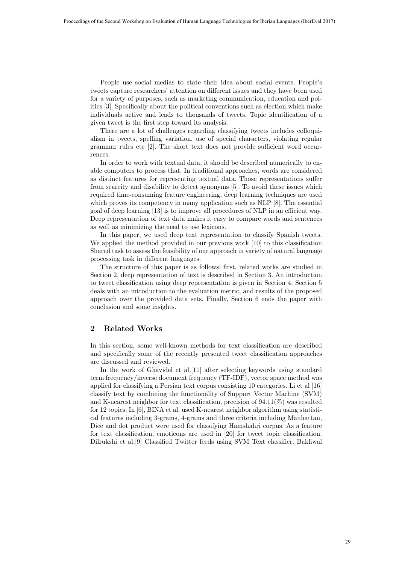People use social medias to state their idea about social events. People's tweets capture researchers' attention on different issues and they have been used for a variety of purposes, such as marketing communication, education and politics [3]. Specifically about the political conventions such as election which make individuals active and leads to thousands of tweets. Topic identification of a given tweet is the first step toward its analysis.

There are a lot of challenges regarding classifying tweets includes colloquialism in tweets, spelling variation, use of special characters, violating regular grammar rules etc [2]. The short text does not provide sufficient word occurrences.

In order to work with textual data, it should be described numerically to enable computers to process that. In traditional approaches, words are considered as distinct features for representing textual data. Those representations suffer from scarcity and disability to detect synonyms [5]. To avoid these issues which required time-consuming feature engineering, deep learning techniques are used which proves its competency in many application such as NLP [8]. The essential goal of deep learning [13] is to improve all procedures of NLP in an efficient way. Deep representation of text data makes it easy to compare words and sentences as well as minimizing the need to use lexicons.

In this paper, we used deep text representation to classify Spanish tweets. We applied the method provided in our previous work [10] to this classification Shared task to assess the feasibility of our approach in variety of natural language processing task in different languages.

The structure of this paper is as follows: first, related works are studied in Section 2, deep representation of text is described in Section 3. An introduction to tweet classification using deep representation is given in Section 4. Section 5 deals with an introduction to the evaluation metric, and results of the proposed approach over the provided data sets. Finally, Section 6 ends the paper with conclusion and some insights.

### **2 Related Works**

In this section, some well-known methods for text classification are described and specifically some of the recently presented tweet classification approaches are discussed and reviewed.

In the work of Ghavidel et al.[11] after selecting keywords using standard term frequency/inverse document frequency (TF-IDF), vector space method was applied for classifying a Persian text corpus consisting 10 categories. Li et al [16] classify text by combining the functionality of Support Vector Machine (SVM) and K-nearest neighbor for text classification, precision of  $94.11(\%)$  was resulted for 12 topics. In [6], BINA et al. used K-nearest neighbor algorithm using statistical features including 3-grams, 4-grams and three criteria including Manhattan, Dice and dot product were used for classifying Hamshahri corpus. As a feature for text classification, emoticons are used in [20] for tweet topic classification. Dilrukshi et al.[9] Classified Twitter feeds using SVM Text classifier. Bakliwal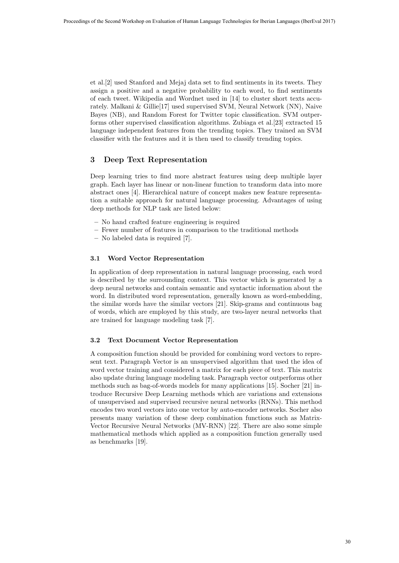et al.[2] used Stanford and Mejaj data set to find sentiments in its tweets. They assign a positive and a negative probability to each word, to find sentiments of each tweet. Wikipedia and Wordnet used in [14] to cluster short texts accurately. Malkani & Gillie[17] used supervised SVM, Neural Network (NN), Naive Bayes (NB), and Random Forest for Twitter topic classification. SVM outperforms other supervised classification algorithms. Zubiaga et al.[23] extracted 15 language independent features from the trending topics. They trained an SVM classifier with the features and it is then used to classify trending topics.

# **3 Deep Text Representation**

Deep learning tries to find more abstract features using deep multiple layer graph. Each layer has linear or non-linear function to transform data into more abstract ones [4]. Hierarchical nature of concept makes new feature representation a suitable approach for natural language processing. Advantages of using deep methods for NLP task are listed below:

- **–** No hand crafted feature engineering is required
- **–** Fewer number of features in comparison to the traditional methods
- **–** No labeled data is required [7].

#### **3.1 Word Vector Representation**

In application of deep representation in natural language processing, each word is described by the surrounding context. This vector which is generated by a deep neural networks and contain semantic and syntactic information about the word. In distributed word representation, generally known as word-embedding, the similar words have the similar vectors [21]. Skip-grams and continuous bag of words, which are employed by this study, are two-layer neural networks that are trained for language modeling task [7].

#### **3.2 Text Document Vector Representation**

A composition function should be provided for combining word vectors to represent text. Paragraph Vector is an unsupervised algorithm that used the idea of word vector training and considered a matrix for each piece of text. This matrix also update during language modeling task. Paragraph vector outperforms other methods such as bag-of-words models for many applications [15]. Socher [21] introduce Recursive Deep Learning methods which are variations and extensions of unsupervised and supervised recursive neural networks (RNNs). This method encodes two word vectors into one vector by auto-encoder networks. Socher also presents many variation of these deep combination functions such as Matrix-Vector Recursive Neural Networks (MV-RNN) [22]. There are also some simple mathematical methods which applied as a composition function generally used as benchmarks [19].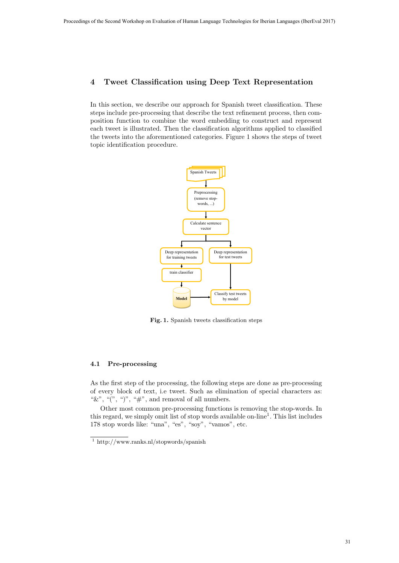# **4 Tweet Classification using Deep Text Representation**

In this section, we describe our approach for Spanish tweet classification. These steps include pre-processing that describe the text refinement process, then composition function to combine the word embedding to construct and represent each tweet is illustrated. Then the classification algorithms applied to classified the tweets into the aforementioned categories. Figure 1 shows the steps of tweet topic identification procedure.



**Fig. 1.** Spanish tweets classification steps

### **4.1 Pre-processing**

As the first step of the processing, the following steps are done as pre-processing of every block of text, i.e tweet. Such as elimination of special characters as: " $\&$ ", " $($ ", " $)$ ", " $\#$ ", and removal of all numbers.

Other most common pre-processing functions is removing the stop-words. In this regard, we simply omit list of stop words available on-line<sup>1</sup>. This list includes 178 stop words like: "una", "es", "soy", "vamos", etc.

<sup>1</sup> http://www.ranks.nl/stopwords/spanish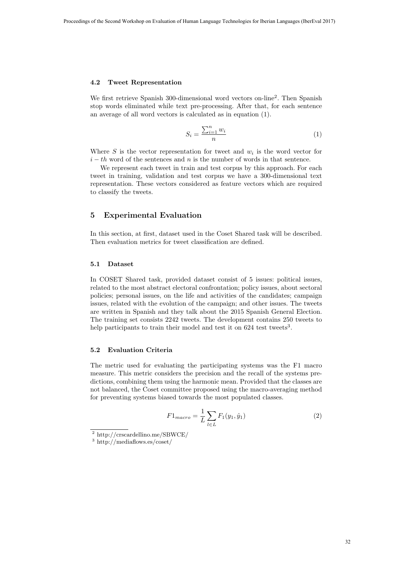#### **4.2 Tweet Representation**

We first retrieve Spanish 300-dimensional word vectors on-line<sup>2</sup>. Then Spanish stop words eliminated while text pre-processing. After that, for each sentence an average of all word vectors is calculated as in equation (1).

$$
S_i = \frac{\sum_{i=1}^n w_i}{n} \tag{1}
$$

Where  $S$  is the vector representation for tweet and  $w_i$  is the word vector for  $i - th$  word of the sentences and *n* is the number of words in that sentence.

We represent each tweet in train and test corpus by this approach. For each tweet in training, validation and test corpus we have a 300-dimensional text representation. These vectors considered as feature vectors which are required to classify the tweets.

# **5 Experimental Evaluation**

In this section, at first, dataset used in the Coset Shared task will be described. Then evaluation metrics for tweet classification are defined.

#### **5.1 Dataset**

In COSET Shared task, provided dataset consist of 5 issues: political issues, related to the most abstract electoral confrontation; policy issues, about sectoral policies; personal issues, on the life and activities of the candidates; campaign issues, related with the evolution of the campaign; and other issues. The tweets are written in Spanish and they talk about the 2015 Spanish General Election. The training set consists 2242 tweets. The development contains 250 tweets to help participants to train their model and test it on  $624$  test tweets<sup>3</sup>.

### **5.2 Evaluation Criteria**

The metric used for evaluating the participating systems was the F1 macro measure. This metric considers the precision and the recall of the systems predictions, combining them using the harmonic mean. Provided that the classes are not balanced, the Coset committee proposed using the macro-averaging method for preventing systems biased towards the most populated classes.

$$
F1_{macro} = \frac{1}{L} \sum_{l \in L} F_1(y_1, \hat{y}_1)
$$
 (2)

<sup>2</sup> http://crscardellino.me/SBWCE/

 $^3$ http://mediaflows.es/coset/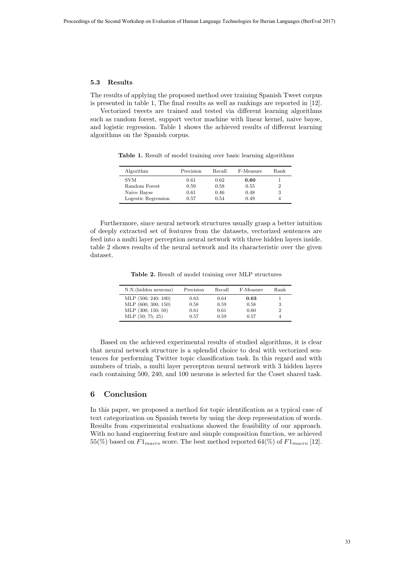#### **5.3 Results**

The results of applying the proposed method over training Spanish Tweet corpus is presented in table 1, The final results as well as rankings are reported in [12].

Vectorized tweets are trained and tested via different learning algorithms such as random forest, support vector machine with linear kernel, naive bayse, and logistic regression. Table 1 shows the achieved results of different learning algorithms on the Spanish corpus.

| Algorithm           | Precision | Recall | F-Measure | Rank |
|---------------------|-----------|--------|-----------|------|
| <b>SVM</b>          | 0.61      | 0.62   | 0.60      |      |
| Random Forest       | 0.59      | 0.58   | 0.55      | 2    |
| Naive Bayse         | 0.61      | 0.46   | 0.48      | 3    |
| Logestic Regression | 0.57      | 0.54   | 0.49      |      |

**Table 1.** Result of model training over basic learning algorithms

Furthermore, since neural network structures usually grasp a better intuition of deeply extracted set of features from the datasets, vectorized sentences are feed into a multi layer perception neural network with three hidden layers inside. table 2 shows results of the neural network and its characteristic over the given dataset.

**Table 2.** Result of model training over MLP structures

| N.N.(hidden neurons) | Precision | Recall | F-Measure | Rank |
|----------------------|-----------|--------|-----------|------|
| MLP (500; 240; 100)  | 0.63      | 0.64   | 0.63      |      |
| MLP (600; 300; 150)  | 0.58      | 0.59   | 0.58      | 3    |
| MLP (300; 150; 50)   | 0.61      | 0.61   | 0.60      | 2    |
| MLP (50; 75; 25)     | 0.57      | 0.59   | 0.57      |      |

Based on the achieved experimental results of studied algorithms, it is clear that neural network structure is a splendid choice to deal with vectorized sentences for performing Twitter topic classification task. In this regard and with numbers of trials, a multi layer perceptron neural network with 3 hidden layers each containing 500, 240, and 100 neurons is selected for the Coset shared task.

# **6 Conclusion**

In this paper, we proposed a method for topic identification as a typical case of text categorization on Spanish tweets by using the deep representation of words. Results from experimental evaluations showed the feasibility of our approach. With no hand engineering feature and simple composition function, we achieved 55(%) based on  $F1_{macro}$  score. The best method reported 64(%) of  $F1_{macro}$  [12].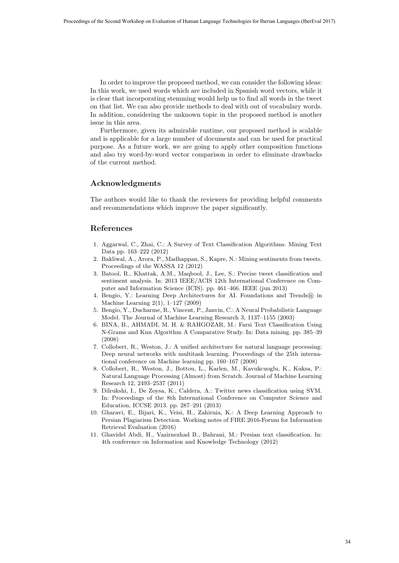In order to improve the proposed method, we can consider the following ideas: In this work, we used words which are included in Spanish word vectors, while it is clear that incorporating stemming would help us to find all words in the tweet on that list. We can also provide methods to deal with out of vocabulary words. In addition, considering the unknown topic in the proposed method is another issue in this area.

Furthermore, given its admirable runtime, our proposed method is scalable and is applicable for a large number of documents and can be used for practical purpose. As a future work, we are going to apply other composition functions and also try word-by-word vector comparison in order to eliminate drawbacks of the current method.

## **Acknowledgments**

The authors would like to thank the reviewers for providing helpful comments and recommendations which improve the paper significantly.

### **References**

- 1. Aggarwal, C., Zhai, C.: A Survey of Text Classification Algorithms. Mining Text Data pp. 163–222 (2012)
- 2. Bakliwal, A., Arora, P., Madhappan, S., Kapre, N.: Mining sentiments from tweets. Proceedings of the WASSA 12 (2012)
- 3. Batool, R., Khattak, A.M., Maqbool, J., Lee, S.: Precise tweet classification and sentiment analysis. In: 2013 IEEE/ACIS 12th International Conference on Computer and Information Science (ICIS). pp. 461–466. IEEE (jun 2013)
- 4. Bengio, Y.: Learning Deep Architectures for AI. Foundations and Trends<sup>*®*</sup>, in Machine Learning 2(1), 1–127 (2009)
- 5. Bengio, Y., Ducharme, R., Vincent, P., Janvin, C.: A Neural Probabilistic Language Model. The Journal of Machine Learning Research 3, 1137–1155 (2003)
- 6. BINA, B., AHMADI, M. H. & RAHGOZAR, M.: Farsi Text Classification Using N-Grams and Knn Algorithm A Comparative Study. In: Data mining. pp. 385–39 (2008)
- 7. Collobert, R., Weston, J.: A unified architecture for natural language processing: Deep neural networks with multitask learning. Proceedings of the 25th international conference on Machine learning pp. 160–167 (2008)
- 8. Collobert, R., Weston, J., Bottou, L., Karlen, M., Kavukcuoglu, K., Kuksa, P.: Natural Language Processing (Almost) from Scratch. Journal of Machine Learning Research 12, 2493–2537 (2011)
- 9. Dilrukshi, I., De Zoysa, K., Caldera, A.: Twitter news classification using SVM. In: Proceedings of the 8th International Conference on Computer Science and Education, ICCSE 2013. pp. 287–291 (2013)
- 10. Gharavi, E., Bijari, K., Veisi, H., Zahirnia, K.: A Deep Learning Approach to Persian Plagiarism Detection. Working notes of FIRE 2016-Forum for Information Retrieval Evaluation (2016)
- 11. Ghavidel Abdi, H., Vazirnezhad B., Bahrani, M.: Persian text classification. In: 4th conference on Information and Knowledge Technology (2012)